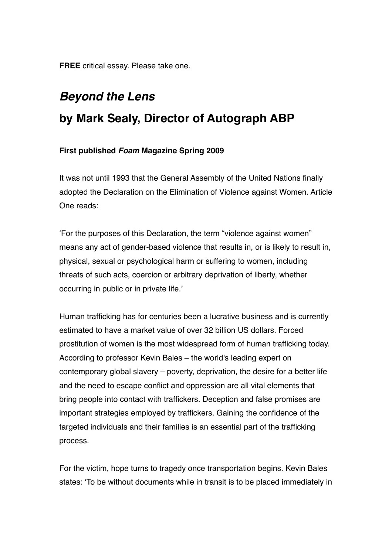**FREE** critical essay. Please take one.

## *Beyond the Lens* **by Mark Sealy, Director of Autograph ABP**

## **First published** *Foam* **Magazine Spring 2009**

It was not until 1993 that the General Assembly of the United Nations finally adopted the Declaration on the Elimination of Violence against Women. Article One reads:

'For the purposes of this Declaration, the term "violence against women" means any act of gender-based violence that results in, or is likely to result in, physical, sexual or psychological harm or suffering to women, including threats of such acts, coercion or arbitrary deprivation of liberty, whether occurring in public or in private life.'

Human trafficking has for centuries been a lucrative business and is currently estimated to have a market value of over 32 billion US dollars. Forced prostitution of women is the most widespread form of human trafficking today. According to professor Kevin Bales – the world's leading expert on contemporary global slavery – poverty, deprivation, the desire for a better life and the need to escape conflict and oppression are all vital elements that bring people into contact with traffickers. Deception and false promises are important strategies employed by traffickers. Gaining the confidence of the targeted individuals and their families is an essential part of the trafficking process.

For the victim, hope turns to tragedy once transportation begins. Kevin Bales states: 'To be without documents while in transit is to be placed immediately in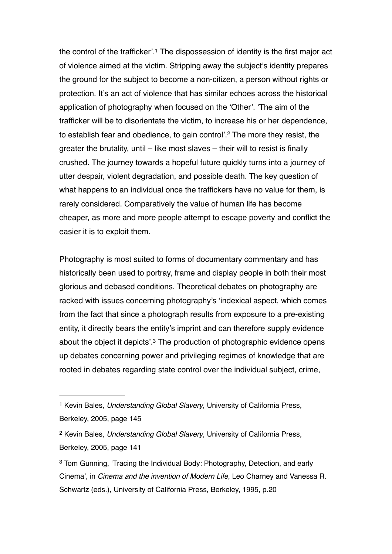<span id="page-1-4"></span><span id="page-1-3"></span>the control of the trafficker'.<sup>[1](#page-1-0)</sup> The dispossession of identity is the first major act of violence aimed at the victim. Stripping away the subject's identity prepares the ground for the subject to become a non-citizen, a person without rights or protection. It's an act of violence that has similar echoes across the historical application of photography when focused on the 'Other'. 'The aim of the trafficker will be to disorientate the victim, to increase his or her dependence, to establish fear and obedience, to gain control'.<sup>[2](#page-1-1)</sup> The more they resist, the greater the brutality, until – like most slaves – their will to resist is finally crushed. The journey towards a hopeful future quickly turns into a journey of utter despair, violent degradation, and possible death. The key question of what happens to an individual once the traffickers have no value for them, is rarely considered. Comparatively the value of human life has become cheaper, as more and more people attempt to escape poverty and conflict the easier it is to exploit them.

Photography is most suited to forms of documentary commentary and has historically been used to portray, frame and display people in both their most glorious and debased conditions. Theoretical debates on photography are racked with issues concerning photography's 'indexical aspect, which comes from the fact that since a photograph results from exposure to a pre-existing entity, it directly bears the entity's imprint and can therefore supply evidence about the object it depicts'.<sup>[3](#page-1-2)</sup> The production of photographic evidence opens up debates concerning power and privileging regimes of knowledge that are rooted in debates regarding state control over the individual subject, crime,

<span id="page-1-5"></span><span id="page-1-0"></span><sup>&</sup>lt;sup>[1](#page-1-3)</sup> Kevin Bales, *Understanding Global Slavery*, University of California Press, Berkeley, 2005, page 145

<span id="page-1-1"></span><sup>&</sup>lt;sup>[2](#page-1-4)</sup> Kevin Bales, *Understanding Global Slavery*, University of California Press, Berkeley, 2005, page 141

<span id="page-1-2"></span><sup>&</sup>lt;sup>[3](#page-1-5)</sup> Tom Gunning, 'Tracing the Individual Body: Photography, Detection, and early Cinema', in *Cinema and the invention of Modern Life*, Leo Charney and Vanessa R. Schwartz (eds.), University of California Press, Berkeley, 1995, p.20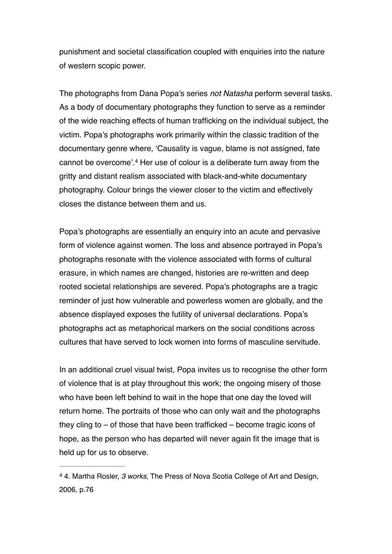punishment and societal classification coupled with enquiries into the nature of western scopic power.

<span id="page-2-1"></span>The photographs from Dana Popa's series *not Natasha* perform several tasks. As a body of documentary photographs they function to serve as a reminder of the wide reaching effects of human trafficking on the individual subject, the victim. Popa's photographs work primarily within the classic tradition of the documentary genre where, 'Causality is vague, blame is not assigned, fate cannot be overcome'.<sup>[4](#page-2-0)</sup> Her use of colour is a deliberate turn away from the gritty and distant realism associated with black-and-white documentary photography. Colour brings the viewer closer to the victim and effectively closes the distance between them and us.

Popa's photographs are essentially an enquiry into an acute and pervasive form of violence against women. The loss and absence portrayed in Popa's photographs resonate with the violence associated with forms of cultural erasure, in which names are changed, histories are re-written and deep rooted societal relationships are severed. Popa's photographs are a tragic reminder of just how vulnerable and powerless women are globally, and the absence displayed exposes the futility of universal declarations. Popa's photographs act as metaphorical markers on the social conditions across cultures that have served to lock women into forms of masculine servitude.

In an additional cruel visual twist, Popa invites us to recognise the other form of violence that is at play throughout this work; the ongoing misery of those who have been left behind to wait in the hope that one day the loved will return home. The portraits of those who can only wait and the photographs they cling to – of those that have been trafficked – become tragic icons of hope, as the person who has departed will never again fit the image that is held up for us to observe.

<span id="page-2-0"></span> <sup>4.</sup> Martha Rosler, *3 works*, The Press of Nova Scotia College of Art and Design, [4](#page-2-1) 2006, p.76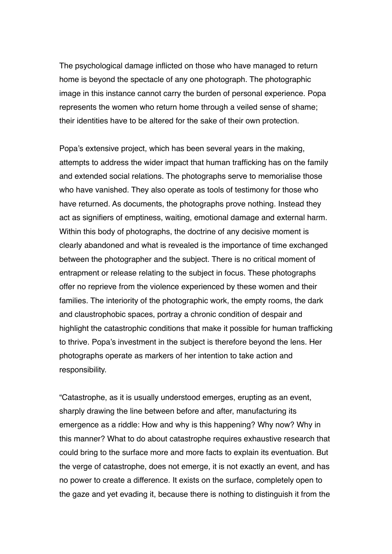The psychological damage inflicted on those who have managed to return home is beyond the spectacle of any one photograph. The photographic image in this instance cannot carry the burden of personal experience. Popa represents the women who return home through a veiled sense of shame; their identities have to be altered for the sake of their own protection.

Popa's extensive project, which has been several years in the making, attempts to address the wider impact that human trafficking has on the family and extended social relations. The photographs serve to memorialise those who have vanished. They also operate as tools of testimony for those who have returned. As documents, the photographs prove nothing. Instead they act as signifiers of emptiness, waiting, emotional damage and external harm. Within this body of photographs, the doctrine of any decisive moment is clearly abandoned and what is revealed is the importance of time exchanged between the photographer and the subject. There is no critical moment of entrapment or release relating to the subject in focus. These photographs offer no reprieve from the violence experienced by these women and their families. The interiority of the photographic work, the empty rooms, the dark and claustrophobic spaces, portray a chronic condition of despair and highlight the catastrophic conditions that make it possible for human trafficking to thrive. Popa's investment in the subject is therefore beyond the lens. Her photographs operate as markers of her intention to take action and responsibility.

"Catastrophe, as it is usually understood emerges, erupting as an event, sharply drawing the line between before and after, manufacturing its emergence as a riddle: How and why is this happening? Why now? Why in this manner? What to do about catastrophe requires exhaustive research that could bring to the surface more and more facts to explain its eventuation. But the verge of catastrophe, does not emerge, it is not exactly an event, and has no power to create a difference. It exists on the surface, completely open to the gaze and yet evading it, because there is nothing to distinguish it from the